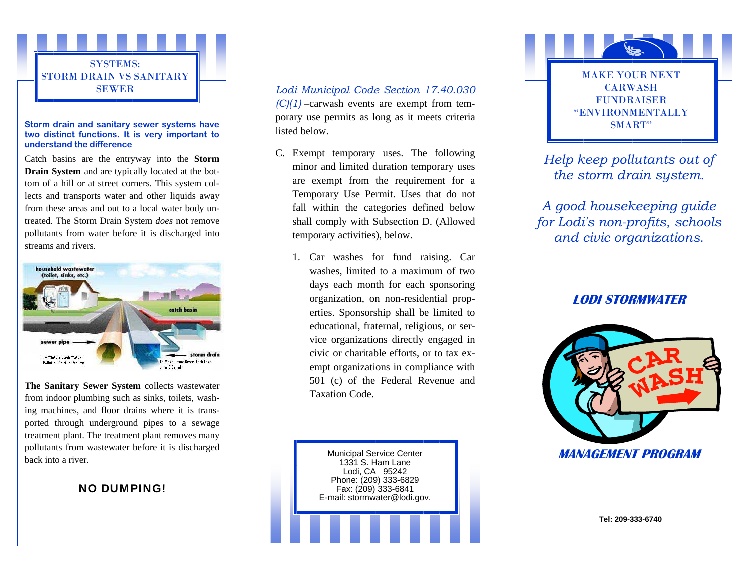

# **two distinct functions. It is very important to understand the difference**

Catch basins are the entryway into the **Storm Drain System** and are typically located at the bottom of a hill or at street corners. This system collects and transports water and other liquids away from these areas and out to a local water body untreated. The Storm Drain System *does* not remove pollutants from water before it is discharged into streams and rivers.



**The Sanitary Sewer System** collects wastewater from indoor plumbing such as sinks, toilets, washing machines, and floor drains where it is transported through underground pipes to a sewage treatment plant. The treatment plant removes many pollutants from wastewater before it is discharged back into a river.

## NO DUMPING!

### *Lodi Municipal Code Section 17.40.030*

**Storm drain and sanitary sewer systems have SMART"**  $\frac{1}{2}$  is the second of the state of the small state  $\frac{1}{2}$  SMART"  $(C)(1)$  –carwash events are exempt from temporary use permits as long as it meets criteria listed below.

- C. Exempt temporary uses. The following minor and limited duration temporary uses are exempt from the requirement for a Temporary Use Permit. Uses that do not fall within the categories defined below shall comply with Subsection D. (Allowed temporary activities), below.
	- 1. Car washes for fund raising. Car washes, limited to a maximum of two days each month for each sponsoring organization, on non-residential properties. Sponsorship shall be limited to educational, fraternal, religious, or service organizations directly engaged in civic or charitable efforts, or to tax exempt organizations in compliance with 501 (c) of the Federal Revenue and Taxation Code.

Municipal Service Center 1331 S. Ham Lane Lodi, CA 95242 Phone: (209) 333-6829 Fax: (209) 333-6841 E-mail: stormwater@lodi.gov.



*Help keep pollutants out of the storm drain system.* 

*A good housekeeping guide for Lodi's non-profits, schools and civic organizations.* 

## **LODI STORMWATER**



**Tel: 209-333-6740**